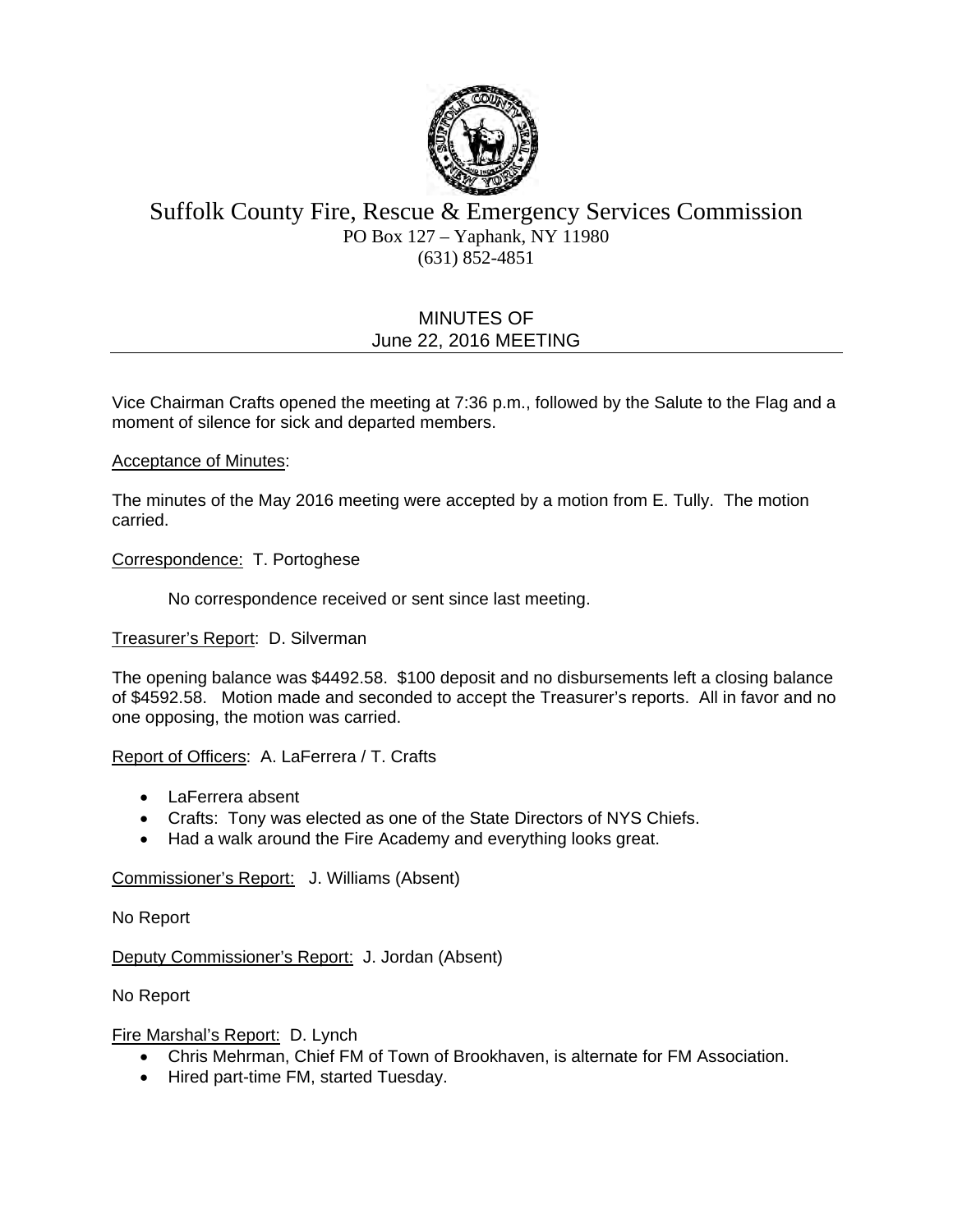

# Suffolk County Fire, Rescue & Emergency Services Commission PO Box 127 – Yaphank, NY 11980 (631) 852-4851

# MINUTES OF June 22, 2016 MEETING

Vice Chairman Crafts opened the meeting at 7:36 p.m., followed by the Salute to the Flag and a moment of silence for sick and departed members.

### Acceptance of Minutes:

The minutes of the May 2016 meeting were accepted by a motion from E. Tully. The motion carried.

### Correspondence: T. Portoghese

No correspondence received or sent since last meeting.

#### Treasurer's Report: D. Silverman

The opening balance was \$4492.58. \$100 deposit and no disbursements left a closing balance of \$4592.58. Motion made and seconded to accept the Treasurer's reports. All in favor and no one opposing, the motion was carried.

## Report of Officers: A. LaFerrera / T. Crafts

- LaFerrera absent
- Crafts: Tony was elected as one of the State Directors of NYS Chiefs.
- Had a walk around the Fire Academy and everything looks great.

#### Commissioner's Report: J. Williams (Absent)

No Report

Deputy Commissioner's Report: J. Jordan (Absent)

No Report

#### Fire Marshal's Report: D. Lynch

- Chris Mehrman, Chief FM of Town of Brookhaven, is alternate for FM Association.
- Hired part-time FM, started Tuesday.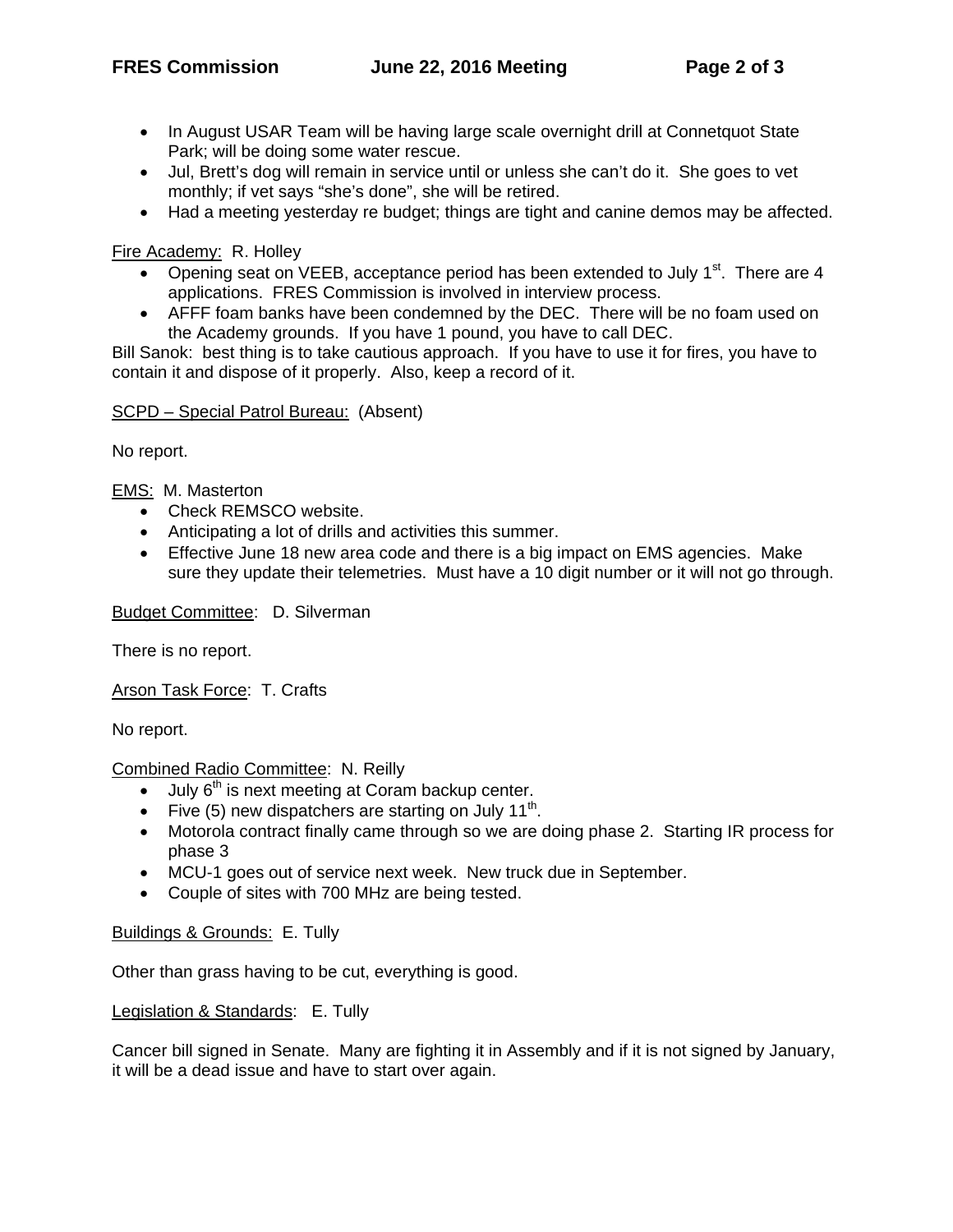- In August USAR Team will be having large scale overnight drill at Connetquot State Park; will be doing some water rescue.
- Jul, Brett's dog will remain in service until or unless she can't do it. She goes to vet monthly; if vet says "she's done", she will be retired.
- Had a meeting yesterday re budget; things are tight and canine demos may be affected.

Fire Academy: R. Holley

- Opening seat on VEEB, acceptance period has been extended to July  $1<sup>st</sup>$ . There are 4 applications. FRES Commission is involved in interview process.
- AFFF foam banks have been condemned by the DEC. There will be no foam used on the Academy grounds. If you have 1 pound, you have to call DEC.

Bill Sanok: best thing is to take cautious approach. If you have to use it for fires, you have to contain it and dispose of it properly. Also, keep a record of it.

## SCPD – Special Patrol Bureau: (Absent)

No report.

EMS: M. Masterton

- Check REMSCO website.
- Anticipating a lot of drills and activities this summer.
- Effective June 18 new area code and there is a big impact on EMS agencies. Make sure they update their telemetries. Must have a 10 digit number or it will not go through.

Budget Committee: D. Silverman

There is no report.

Arson Task Force: T. Crafts

No report.

Combined Radio Committee: N. Reilly

- $\bullet$  July  $6<sup>th</sup>$  is next meeting at Coram backup center.
- Five (5) new dispatchers are starting on July 11<sup>th</sup>.
- Motorola contract finally came through so we are doing phase 2. Starting IR process for phase 3
- MCU-1 goes out of service next week. New truck due in September.
- Couple of sites with 700 MHz are being tested.

## Buildings & Grounds: E. Tully

Other than grass having to be cut, everything is good.

#### Legislation & Standards: E. Tully

Cancer bill signed in Senate. Many are fighting it in Assembly and if it is not signed by January, it will be a dead issue and have to start over again.